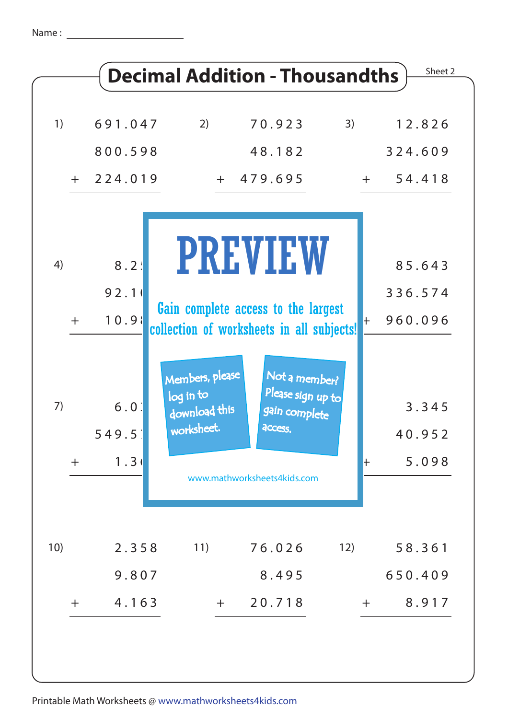| 1)    | 691.047          | 2)                                                          | 70.923                                                                           | 3)           | 12.826          |
|-------|------------------|-------------------------------------------------------------|----------------------------------------------------------------------------------|--------------|-----------------|
|       | 800.598          |                                                             | 48.182                                                                           |              | 324.609         |
|       | $+ 224.019$      |                                                             | $+ 479.695$                                                                      | $+$ $-$      | 54.418          |
| 4)    | 8.2:             |                                                             | <b>PREVIEW</b>                                                                   |              | 85.643          |
|       | 92.1             |                                                             |                                                                                  |              | 336.574         |
| $+$   | 10.91            |                                                             | Gain complete access to the largest<br>collection of worksheets in all subjects! | $\pm$        | 960.096         |
| 7)    | $6.0$<br>549.5   | Members, please<br>log in to<br>download this<br>worksheet. | Not a member?<br>Please sign up to<br>gain complete<br>access.                   |              | 3.345<br>40.952 |
| $\pm$ | 1.3 <sub>0</sub> |                                                             | www.mathworksheets4kids.com                                                      | $\mathsf{+}$ | 5.098           |
| 10)   | 2.358            | 11)                                                         | 76.026                                                                           | 12)          | 58.361          |
|       | 9.807            |                                                             | 8.495                                                                            |              | 650.409         |
| $+$   | 4.163            | $+$                                                         | 20.718                                                                           | $+$          | 8.917           |